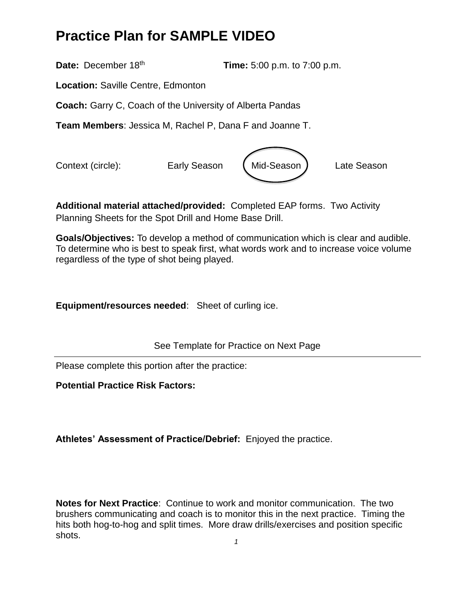## **Practice Plan for SAMPLE VIDEO**

**Date:** December 18<sup>th</sup> **Time:** 5:00 p.m. to 7:00 p.m.

**Location:** Saville Centre, Edmonton

**Coach:** Garry C, Coach of the University of Alberta Pandas

**Team Members**: Jessica M, Rachel P, Dana F and Joanne T.



**Additional material attached/provided:** Completed EAP forms. Two Activity Planning Sheets for the Spot Drill and Home Base Drill.

**Goals/Objectives:** To develop a method of communication which is clear and audible. To determine who is best to speak first, what words work and to increase voice volume regardless of the type of shot being played.

**Equipment/resources needed**: Sheet of curling ice.

See Template for Practice on Next Page

Please complete this portion after the practice:

**Potential Practice Risk Factors:** 

**Athletes' Assessment of Practice/Debrief:** Enjoyed the practice.

**Notes for Next Practice**: Continue to work and monitor communication. The two brushers communicating and coach is to monitor this in the next practice. Timing the hits both hog-to-hog and split times. More draw drills/exercises and position specific shots.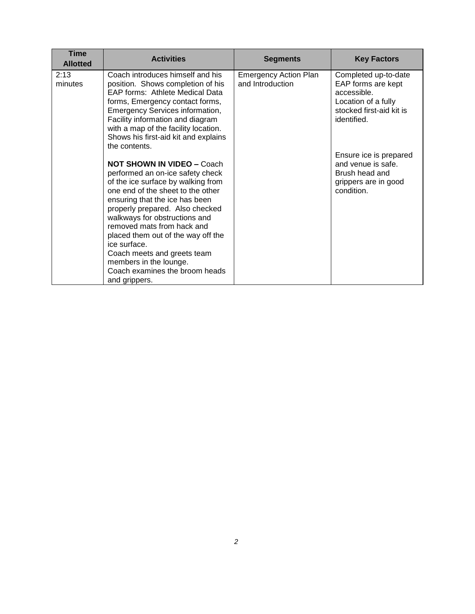| <b>Time</b><br><b>Allotted</b> | <b>Activities</b>                                                                                                                                                                                                                                                                                                                                                                                                                                      | <b>Segments</b>                                  | <b>Key Factors</b>                                                                                                          |
|--------------------------------|--------------------------------------------------------------------------------------------------------------------------------------------------------------------------------------------------------------------------------------------------------------------------------------------------------------------------------------------------------------------------------------------------------------------------------------------------------|--------------------------------------------------|-----------------------------------------------------------------------------------------------------------------------------|
| 2:13<br>minutes                | Coach introduces himself and his<br>position. Shows completion of his<br><b>EAP forms: Athlete Medical Data</b><br>forms, Emergency contact forms,<br><b>Emergency Services information,</b><br>Facility information and diagram<br>with a map of the facility location.<br>Shows his first-aid kit and explains<br>the contents.                                                                                                                      | <b>Emergency Action Plan</b><br>and Introduction | Completed up-to-date<br>EAP forms are kept<br>accessible.<br>Location of a fully<br>stocked first-aid kit is<br>identified. |
|                                | <b>NOT SHOWN IN VIDEO - Coach</b><br>performed an on-ice safety check<br>of the ice surface by walking from<br>one end of the sheet to the other<br>ensuring that the ice has been<br>properly prepared. Also checked<br>walkways for obstructions and<br>removed mats from hack and<br>placed them out of the way off the<br>ice surface.<br>Coach meets and greets team<br>members in the lounge.<br>Coach examines the broom heads<br>and grippers. |                                                  | Ensure ice is prepared<br>and venue is safe.<br>Brush head and<br>grippers are in good<br>condition.                        |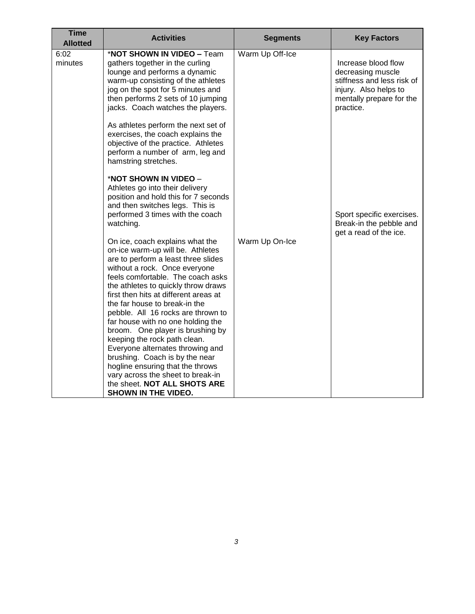| <b>Time</b><br><b>Allotted</b> | <b>Activities</b>                                                                                                                                                                                                                                                                                                                                                                                                                                                                                                                                                                                                                                                                                                                                                                                                                              | <b>Segments</b> | <b>Key Factors</b>                                                                                                                       |
|--------------------------------|------------------------------------------------------------------------------------------------------------------------------------------------------------------------------------------------------------------------------------------------------------------------------------------------------------------------------------------------------------------------------------------------------------------------------------------------------------------------------------------------------------------------------------------------------------------------------------------------------------------------------------------------------------------------------------------------------------------------------------------------------------------------------------------------------------------------------------------------|-----------------|------------------------------------------------------------------------------------------------------------------------------------------|
| 6:02<br>minutes                | *NOT SHOWN IN VIDEO - Team<br>gathers together in the curling<br>lounge and performs a dynamic<br>warm-up consisting of the athletes<br>jog on the spot for 5 minutes and<br>then performs 2 sets of 10 jumping<br>jacks. Coach watches the players.<br>As athletes perform the next set of<br>exercises, the coach explains the<br>objective of the practice. Athletes<br>perform a number of arm, leg and<br>hamstring stretches.                                                                                                                                                                                                                                                                                                                                                                                                            | Warm Up Off-Ice | Increase blood flow<br>decreasing muscle<br>stiffness and less risk of<br>injury. Also helps to<br>mentally prepare for the<br>practice. |
|                                | *NOT SHOWN IN VIDEO -<br>Athletes go into their delivery<br>position and hold this for 7 seconds<br>and then switches legs. This is<br>performed 3 times with the coach<br>watching.<br>On ice, coach explains what the<br>on-ice warm-up will be. Athletes<br>are to perform a least three slides<br>without a rock. Once everyone<br>feels comfortable. The coach asks<br>the athletes to quickly throw draws<br>first then hits at different areas at<br>the far house to break-in the<br>pebble. All 16 rocks are thrown to<br>far house with no one holding the<br>broom. One player is brushing by<br>keeping the rock path clean.<br>Everyone alternates throwing and<br>brushing. Coach is by the near<br>hogline ensuring that the throws<br>vary across the sheet to break-in<br>the sheet. NOT ALL SHOTS ARE<br>SHOWN IN THE VIDEO. | Warm Up On-Ice  | Sport specific exercises.<br>Break-in the pebble and<br>get a read of the ice.                                                           |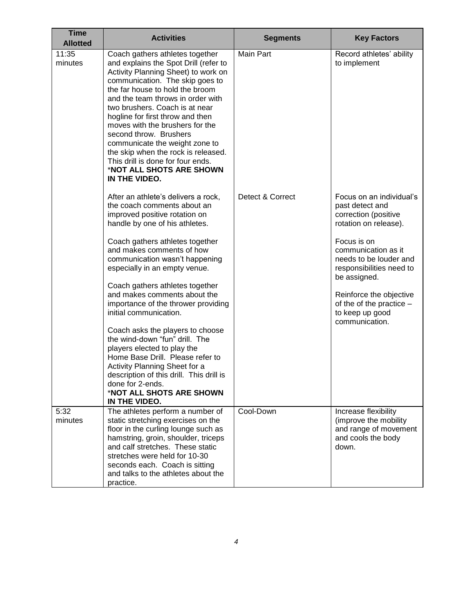| <b>Time</b><br><b>Allotted</b> | <b>Activities</b>                                                                                                                                                                                                                                                                                                                                                                                                                                                                                                                                                                                                                                                                                   | <b>Segments</b>  | <b>Key Factors</b>                                                                                                                                                                                                                                                                                     |
|--------------------------------|-----------------------------------------------------------------------------------------------------------------------------------------------------------------------------------------------------------------------------------------------------------------------------------------------------------------------------------------------------------------------------------------------------------------------------------------------------------------------------------------------------------------------------------------------------------------------------------------------------------------------------------------------------------------------------------------------------|------------------|--------------------------------------------------------------------------------------------------------------------------------------------------------------------------------------------------------------------------------------------------------------------------------------------------------|
| 11:35<br>minutes               | Coach gathers athletes together<br>and explains the Spot Drill (refer to<br>Activity Planning Sheet) to work on<br>communication. The skip goes to<br>the far house to hold the broom<br>and the team throws in order with<br>two brushers. Coach is at near<br>hogline for first throw and then<br>moves with the brushers for the<br>second throw. Brushers<br>communicate the weight zone to<br>the skip when the rock is released.<br>This drill is done for four ends.<br>*NOT ALL SHOTS ARE SHOWN<br>IN THE VIDEO.                                                                                                                                                                            | Main Part        | Record athletes' ability<br>to implement                                                                                                                                                                                                                                                               |
|                                | After an athlete's delivers a rock,<br>the coach comments about an<br>improved positive rotation on<br>handle by one of his athletes.<br>Coach gathers athletes together<br>and makes comments of how<br>communication wasn't happening<br>especially in an empty venue.<br>Coach gathers athletes together<br>and makes comments about the<br>importance of the thrower providing<br>initial communication.<br>Coach asks the players to choose<br>the wind-down "fun" drill. The<br>players elected to play the<br>Home Base Drill. Please refer to<br>Activity Planning Sheet for a<br>description of this drill. This drill is<br>done for 2-ends.<br>*NOT ALL SHOTS ARE SHOWN<br>IN THE VIDEO. | Detect & Correct | Focus on an individual's<br>past detect and<br>correction (positive<br>rotation on release).<br>Focus is on<br>communication as it<br>needs to be louder and<br>responsibilities need to<br>be assigned.<br>Reinforce the objective<br>of the of the practice $-$<br>to keep up good<br>communication. |
| 5:32<br>minutes                | The athletes perform a number of<br>static stretching exercises on the<br>floor in the curling lounge such as<br>hamstring, groin, shoulder, triceps<br>and calf stretches. These static<br>stretches were held for 10-30<br>seconds each. Coach is sitting<br>and talks to the athletes about the<br>practice.                                                                                                                                                                                                                                                                                                                                                                                     | Cool-Down        | Increase flexibility<br>(improve the mobility<br>and range of movement<br>and cools the body<br>down.                                                                                                                                                                                                  |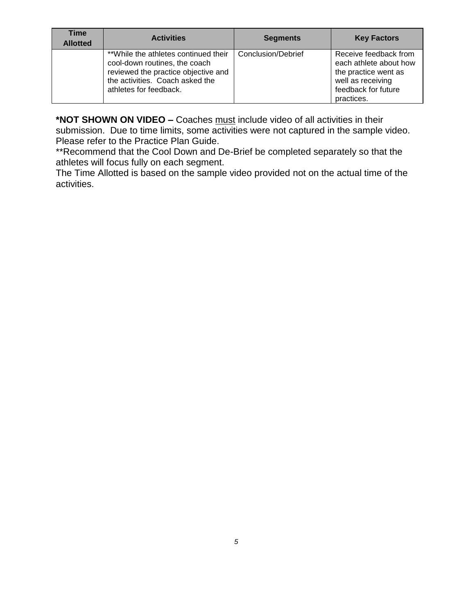| Time<br><b>Allotted</b> | <b>Activities</b>                                                                                                                                                         | <b>Segments</b>    | <b>Key Factors</b>                                                                                                                |
|-------------------------|---------------------------------------------------------------------------------------------------------------------------------------------------------------------------|--------------------|-----------------------------------------------------------------------------------------------------------------------------------|
|                         | **While the athletes continued their<br>cool-down routines, the coach<br>reviewed the practice objective and<br>the activities. Coach asked the<br>athletes for feedback. | Conclusion/Debrief | Receive feedback from<br>each athlete about how<br>the practice went as<br>well as receiving<br>feedback for future<br>practices. |

**\*NOT SHOWN ON VIDEO –** Coaches must include video of all activities in their submission. Due to time limits, some activities were not captured in the sample video. Please refer to the Practice Plan Guide.

\*\*Recommend that the Cool Down and De-Brief be completed separately so that the athletes will focus fully on each segment.

The Time Allotted is based on the sample video provided not on the actual time of the activities.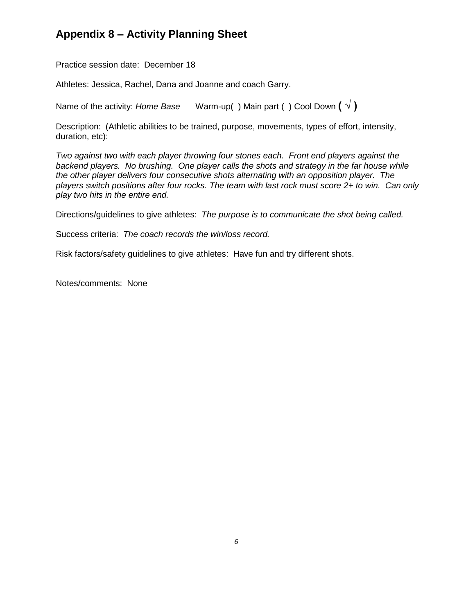## **Appendix 8 – Activity Planning Sheet**

Practice session date: December 18

Athletes: Jessica, Rachel, Dana and Joanne and coach Garry.

Name of the activity: *Home Base* Warm-up( ) Main part ( ) Cool Down  $(\sqrt{})$ 

Description: (Athletic abilities to be trained, purpose, movements, types of effort, intensity, duration, etc):

*Two against two with each player throwing four stones each. Front end players against the backend players. No brushing. One player calls the shots and strategy in the far house while the other player delivers four consecutive shots alternating with an opposition player. The players switch positions after four rocks. The team with last rock must score 2+ to win. Can only play two hits in the entire end.*

Directions/guidelines to give athletes: *The purpose is to communicate the shot being called.*

Success criteria: *The coach records the win/loss record.*

Risk factors/safety guidelines to give athletes: Have fun and try different shots.

Notes/comments: None